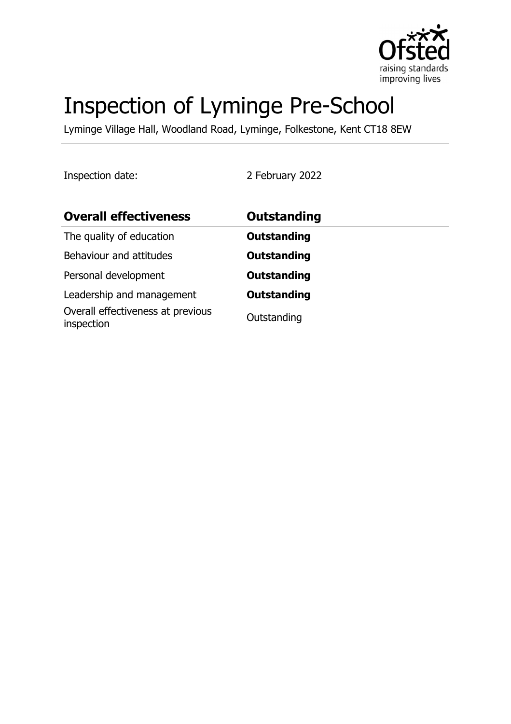

# Inspection of Lyminge Pre-School

Lyminge Village Hall, Woodland Road, Lyminge, Folkestone, Kent CT18 8EW

Inspection date: 2 February 2022

| <b>Overall effectiveness</b>                    | Outstanding        |
|-------------------------------------------------|--------------------|
| The quality of education                        | <b>Outstanding</b> |
| Behaviour and attitudes                         | <b>Outstanding</b> |
| Personal development                            | <b>Outstanding</b> |
| Leadership and management                       | <b>Outstanding</b> |
| Overall effectiveness at previous<br>inspection | Outstanding        |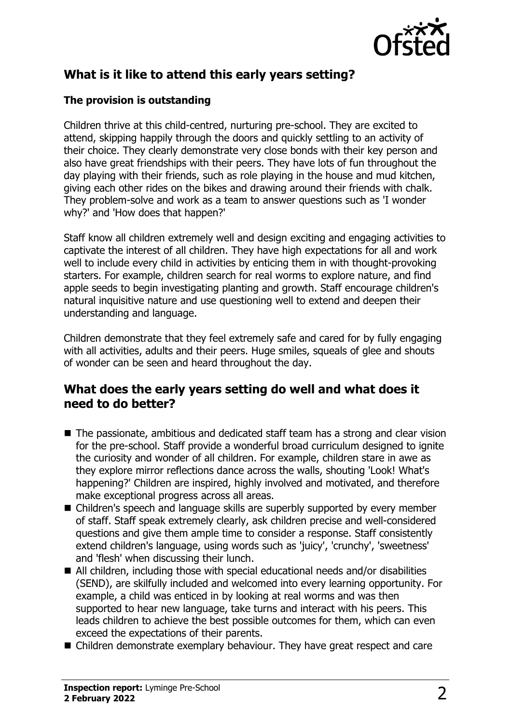

# **What is it like to attend this early years setting?**

#### **The provision is outstanding**

Children thrive at this child-centred, nurturing pre-school. They are excited to attend, skipping happily through the doors and quickly settling to an activity of their choice. They clearly demonstrate very close bonds with their key person and also have great friendships with their peers. They have lots of fun throughout the day playing with their friends, such as role playing in the house and mud kitchen, giving each other rides on the bikes and drawing around their friends with chalk. They problem-solve and work as a team to answer questions such as 'I wonder why?' and 'How does that happen?'

Staff know all children extremely well and design exciting and engaging activities to captivate the interest of all children. They have high expectations for all and work well to include every child in activities by enticing them in with thought-provoking starters. For example, children search for real worms to explore nature, and find apple seeds to begin investigating planting and growth. Staff encourage children's natural inquisitive nature and use questioning well to extend and deepen their understanding and language.

Children demonstrate that they feel extremely safe and cared for by fully engaging with all activities, adults and their peers. Huge smiles, squeals of glee and shouts of wonder can be seen and heard throughout the day.

## **What does the early years setting do well and what does it need to do better?**

- $\blacksquare$  The passionate, ambitious and dedicated staff team has a strong and clear vision for the pre-school. Staff provide a wonderful broad curriculum designed to ignite the curiosity and wonder of all children. For example, children stare in awe as they explore mirror reflections dance across the walls, shouting 'Look! What's happening?' Children are inspired, highly involved and motivated, and therefore make exceptional progress across all areas.
- Children's speech and language skills are superbly supported by every member of staff. Staff speak extremely clearly, ask children precise and well-considered questions and give them ample time to consider a response. Staff consistently extend children's language, using words such as 'juicy', 'crunchy', 'sweetness' and 'flesh' when discussing their lunch.
- $\blacksquare$  All children, including those with special educational needs and/or disabilities (SEND), are skilfully included and welcomed into every learning opportunity. For example, a child was enticed in by looking at real worms and was then supported to hear new language, take turns and interact with his peers. This leads children to achieve the best possible outcomes for them, which can even exceed the expectations of their parents.
- Children demonstrate exemplary behaviour. They have great respect and care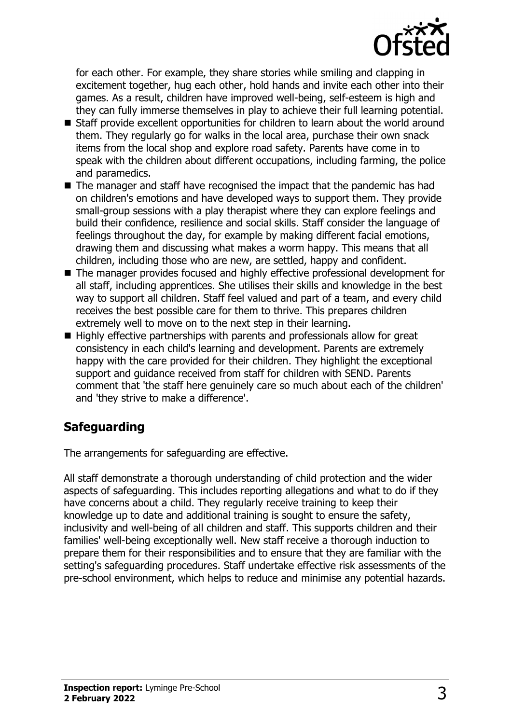

for each other. For example, they share stories while smiling and clapping in excitement together, hug each other, hold hands and invite each other into their games. As a result, children have improved well-being, self-esteem is high and they can fully immerse themselves in play to achieve their full learning potential.

- Staff provide excellent opportunities for children to learn about the world around them. They regularly go for walks in the local area, purchase their own snack items from the local shop and explore road safety. Parents have come in to speak with the children about different occupations, including farming, the police and paramedics.
- $\blacksquare$  The manager and staff have recognised the impact that the pandemic has had on children's emotions and have developed ways to support them. They provide small-group sessions with a play therapist where they can explore feelings and build their confidence, resilience and social skills. Staff consider the language of feelings throughout the day, for example by making different facial emotions, drawing them and discussing what makes a worm happy. This means that all children, including those who are new, are settled, happy and confident.
- The manager provides focused and highly effective professional development for all staff, including apprentices. She utilises their skills and knowledge in the best way to support all children. Staff feel valued and part of a team, and every child receives the best possible care for them to thrive. This prepares children extremely well to move on to the next step in their learning.
- $\blacksquare$  Highly effective partnerships with parents and professionals allow for great consistency in each child's learning and development. Parents are extremely happy with the care provided for their children. They highlight the exceptional support and guidance received from staff for children with SEND. Parents comment that 'the staff here genuinely care so much about each of the children' and 'they strive to make a difference'.

# **Safeguarding**

The arrangements for safeguarding are effective.

All staff demonstrate a thorough understanding of child protection and the wider aspects of safeguarding. This includes reporting allegations and what to do if they have concerns about a child. They regularly receive training to keep their knowledge up to date and additional training is sought to ensure the safety, inclusivity and well-being of all children and staff. This supports children and their families' well-being exceptionally well. New staff receive a thorough induction to prepare them for their responsibilities and to ensure that they are familiar with the setting's safeguarding procedures. Staff undertake effective risk assessments of the pre-school environment, which helps to reduce and minimise any potential hazards.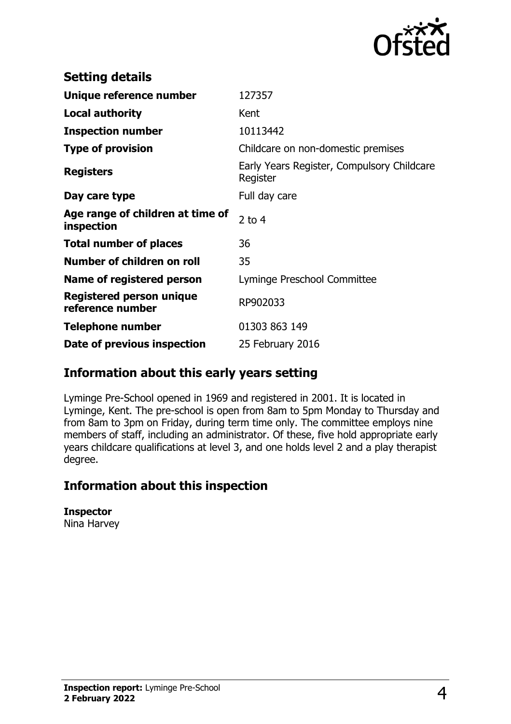

| <b>Setting details</b>                         |                                                        |
|------------------------------------------------|--------------------------------------------------------|
| Unique reference number                        | 127357                                                 |
| <b>Local authority</b>                         | Kent                                                   |
| <b>Inspection number</b>                       | 10113442                                               |
| <b>Type of provision</b>                       | Childcare on non-domestic premises                     |
| <b>Registers</b>                               | Early Years Register, Compulsory Childcare<br>Register |
| Day care type                                  | Full day care                                          |
| Age range of children at time of<br>inspection | 2 to $4$                                               |
| <b>Total number of places</b>                  | 36                                                     |
| Number of children on roll                     | 35                                                     |
| Name of registered person                      | Lyminge Preschool Committee                            |
| Registered person unique<br>reference number   | RP902033                                               |
| <b>Telephone number</b>                        | 01303 863 149                                          |
| Date of previous inspection                    | 25 February 2016                                       |

## **Information about this early years setting**

Lyminge Pre-School opened in 1969 and registered in 2001. It is located in Lyminge, Kent. The pre-school is open from 8am to 5pm Monday to Thursday and from 8am to 3pm on Friday, during term time only. The committee employs nine members of staff, including an administrator. Of these, five hold appropriate early years childcare qualifications at level 3, and one holds level 2 and a play therapist degree.

## **Information about this inspection**

**Inspector**

Nina Harvey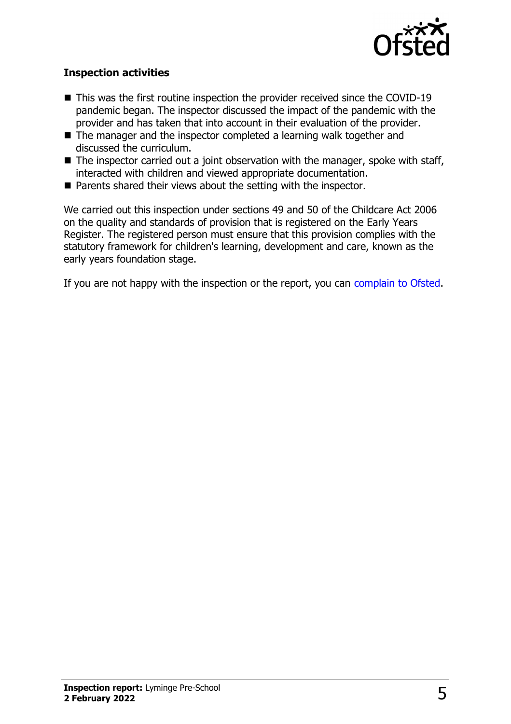

#### **Inspection activities**

- $\blacksquare$  This was the first routine inspection the provider received since the COVID-19 pandemic began. The inspector discussed the impact of the pandemic with the provider and has taken that into account in their evaluation of the provider.
- $\blacksquare$  The manager and the inspector completed a learning walk together and discussed the curriculum.
- $\blacksquare$  The inspector carried out a joint observation with the manager, spoke with staff, interacted with children and viewed appropriate documentation.
- $\blacksquare$  Parents shared their views about the setting with the inspector.

We carried out this inspection under sections 49 and 50 of the Childcare Act 2006 on the quality and standards of provision that is registered on the Early Years Register. The registered person must ensure that this provision complies with the statutory framework for children's learning, development and care, known as the early years foundation stage.

If you are not happy with the inspection or the report, you can [complain to Ofsted](http://www.gov.uk/complain-ofsted-report).